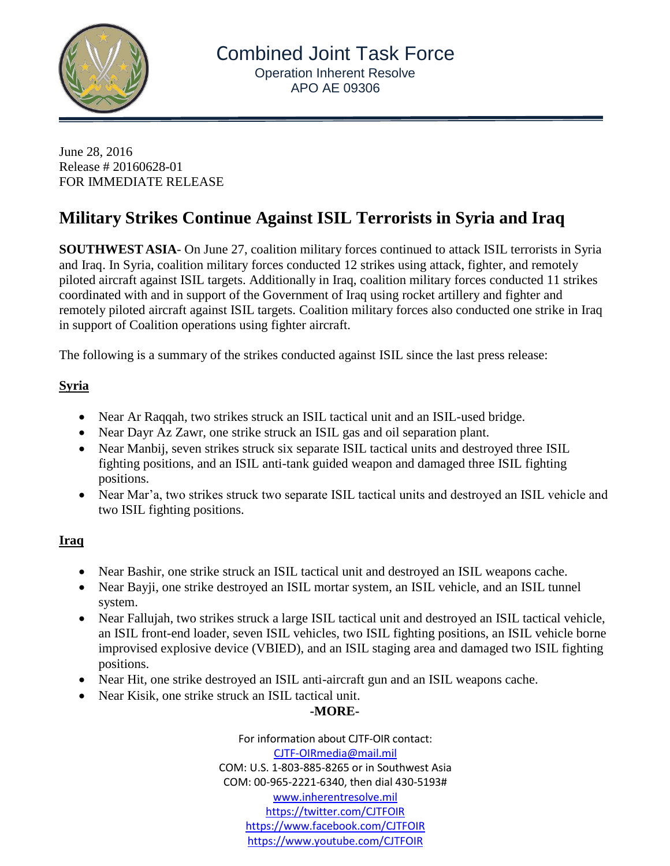

June 28, 2016 Release # 20160628-01 FOR IMMEDIATE RELEASE

# **Military Strikes Continue Against ISIL Terrorists in Syria and Iraq**

**SOUTHWEST ASIA**- On June 27, coalition military forces continued to attack ISIL terrorists in Syria and Iraq. In Syria, coalition military forces conducted 12 strikes using attack, fighter, and remotely piloted aircraft against ISIL targets. Additionally in Iraq, coalition military forces conducted 11 strikes coordinated with and in support of the Government of Iraq using rocket artillery and fighter and remotely piloted aircraft against ISIL targets. Coalition military forces also conducted one strike in Iraq in support of Coalition operations using fighter aircraft.

The following is a summary of the strikes conducted against ISIL since the last press release:

## **Syria**

- Near Ar Raqqah, two strikes struck an ISIL tactical unit and an ISIL-used bridge.
- Near Dayr Az Zawr, one strike struck an ISIL gas and oil separation plant.
- Near Manbij, seven strikes struck six separate ISIL tactical units and destroyed three ISIL fighting positions, and an ISIL anti-tank guided weapon and damaged three ISIL fighting positions.
- Near Mar'a, two strikes struck two separate ISIL tactical units and destroyed an ISIL vehicle and two ISIL fighting positions.

### **Iraq**

- Near Bashir, one strike struck an ISIL tactical unit and destroyed an ISIL weapons cache.
- Near Bayji, one strike destroyed an ISIL mortar system, an ISIL vehicle, and an ISIL tunnel system.
- Near Fallujah, two strikes struck a large ISIL tactical unit and destroyed an ISIL tactical vehicle, an ISIL front-end loader, seven ISIL vehicles, two ISIL fighting positions, an ISIL vehicle borne improvised explosive device (VBIED), and an ISIL staging area and damaged two ISIL fighting positions.
- Near Hit, one strike destroyed an ISIL anti-aircraft gun and an ISIL weapons cache.
- Near Kisik, one strike struck an ISIL tactical unit.

### **-MORE-**

For information about CJTF-OIR contact: [CJTF-OIRmedia@mail.mil](mailto:CJTF-OIRmedia@mail.mil) COM: U.S. 1-803-885-8265 or in Southwest Asia COM: 00-965-2221-6340, then dial 430-5193# [www.inherentresolve.mil](http://www.inherentresolve.mil/) <https://twitter.com/CJTFOIR> <https://www.facebook.com/CJTFOIR> <https://www.youtube.com/CJTFOIR>